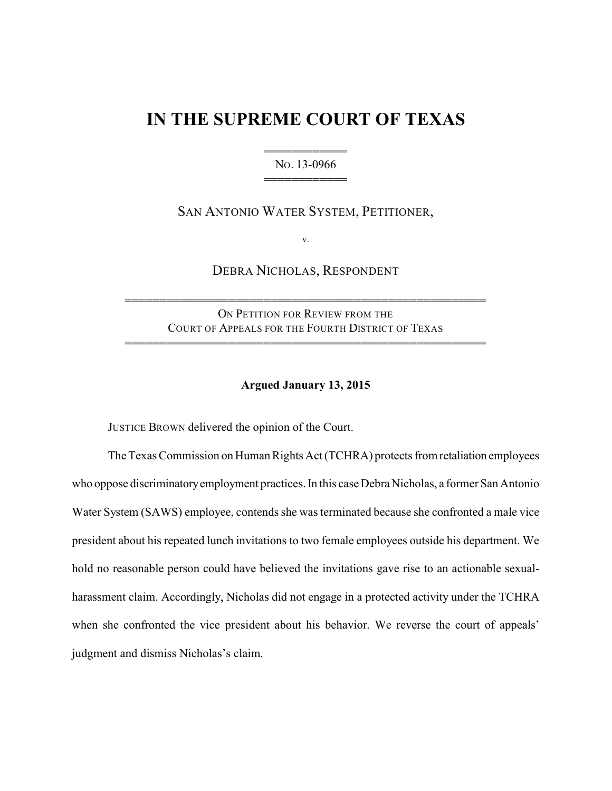## **IN THE SUPREME COURT OF TEXAS**

444444444444 NO. 13-0966 444444444444

SAN ANTONIO WATER SYSTEM, PETITIONER,

v.

DEBRA NICHOLAS, RESPONDENT

ON PETITION FOR REVIEW FROM THE COURT OF APPEALS FOR THE FOURTH DISTRICT OF TEXAS

4444444444444444444444444444444444444444444444444444

4444444444444444444444444444444444444444444444444444

## **Argued January 13, 2015**

JUSTICE BROWN delivered the opinion of the Court.

The Texas Commission on Human Rights Act (TCHRA) protects from retaliation employees who oppose discriminatory employment practices. In this case Debra Nicholas, a former San Antonio Water System (SAWS) employee, contends she was terminated because she confronted a male vice president about his repeated lunch invitations to two female employees outside his department. We hold no reasonable person could have believed the invitations gave rise to an actionable sexualharassment claim. Accordingly, Nicholas did not engage in a protected activity under the TCHRA when she confronted the vice president about his behavior. We reverse the court of appeals' judgment and dismiss Nicholas's claim.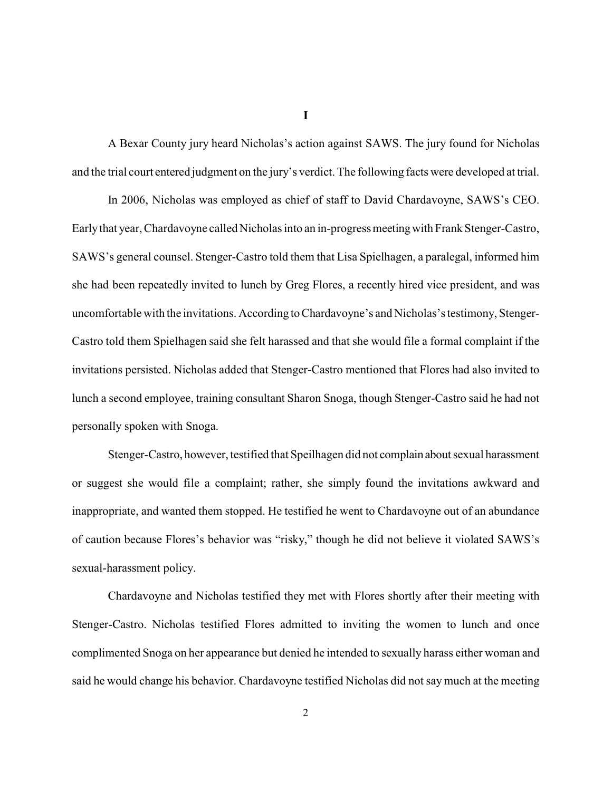A Bexar County jury heard Nicholas's action against SAWS. The jury found for Nicholas and the trial court entered judgment on the jury's verdict. The following facts were developed at trial.

In 2006, Nicholas was employed as chief of staff to David Chardavoyne, SAWS's CEO. Earlythat year, Chardavoyne called Nicholas into an in-progressmeetingwith Frank Stenger-Castro, SAWS's general counsel. Stenger-Castro told them that Lisa Spielhagen, a paralegal, informed him she had been repeatedly invited to lunch by Greg Flores, a recently hired vice president, and was uncomfortable with the invitations. According toChardavoyne's and Nicholas's testimony, Stenger-Castro told them Spielhagen said she felt harassed and that she would file a formal complaint if the invitations persisted. Nicholas added that Stenger-Castro mentioned that Flores had also invited to lunch a second employee, training consultant Sharon Snoga, though Stenger-Castro said he had not personally spoken with Snoga.

Stenger-Castro, however, testified that Speilhagen did not complainabout sexual harassment or suggest she would file a complaint; rather, she simply found the invitations awkward and inappropriate, and wanted them stopped. He testified he went to Chardavoyne out of an abundance of caution because Flores's behavior was "risky," though he did not believe it violated SAWS's sexual-harassment policy.

Chardavoyne and Nicholas testified they met with Flores shortly after their meeting with Stenger-Castro. Nicholas testified Flores admitted to inviting the women to lunch and once complimented Snoga on her appearance but denied he intended to sexually harass either woman and said he would change his behavior. Chardavoyne testified Nicholas did not say much at the meeting

**I**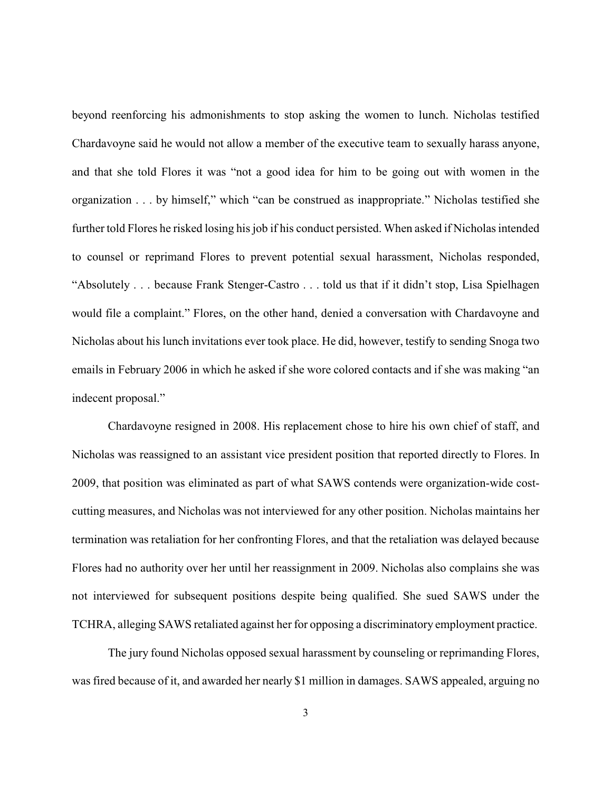beyond reenforcing his admonishments to stop asking the women to lunch. Nicholas testified Chardavoyne said he would not allow a member of the executive team to sexually harass anyone, and that she told Flores it was "not a good idea for him to be going out with women in the organization . . . by himself," which "can be construed as inappropriate." Nicholas testified she further told Flores he risked losing his job if his conduct persisted. When asked if Nicholas intended to counsel or reprimand Flores to prevent potential sexual harassment, Nicholas responded, "Absolutely . . . because Frank Stenger-Castro . . . told us that if it didn't stop, Lisa Spielhagen would file a complaint." Flores, on the other hand, denied a conversation with Chardavoyne and Nicholas about his lunch invitations ever took place. He did, however, testify to sending Snoga two emails in February 2006 in which he asked if she wore colored contacts and if she was making "an indecent proposal."

Chardavoyne resigned in 2008. His replacement chose to hire his own chief of staff, and Nicholas was reassigned to an assistant vice president position that reported directly to Flores. In 2009, that position was eliminated as part of what SAWS contends were organization-wide costcutting measures, and Nicholas was not interviewed for any other position. Nicholas maintains her termination was retaliation for her confronting Flores, and that the retaliation was delayed because Flores had no authority over her until her reassignment in 2009. Nicholas also complains she was not interviewed for subsequent positions despite being qualified. She sued SAWS under the TCHRA, alleging SAWS retaliated against her for opposing a discriminatory employment practice.

The jury found Nicholas opposed sexual harassment by counseling or reprimanding Flores, was fired because of it, and awarded her nearly \$1 million in damages. SAWS appealed, arguing no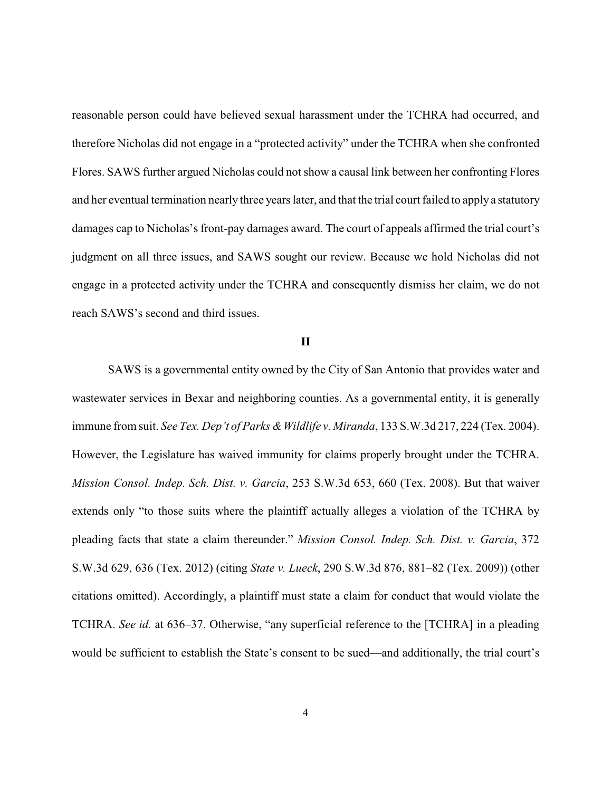reasonable person could have believed sexual harassment under the TCHRA had occurred, and therefore Nicholas did not engage in a "protected activity" under the TCHRA when she confronted Flores. SAWS further argued Nicholas could not show a causal link between her confronting Flores and her eventual termination nearly three years later, and that the trial court failed to apply a statutory damages cap to Nicholas's front-pay damages award. The court of appeals affirmed the trial court's judgment on all three issues, and SAWS sought our review. Because we hold Nicholas did not engage in a protected activity under the TCHRA and consequently dismiss her claim, we do not reach SAWS's second and third issues.

## **II**

SAWS is a governmental entity owned by the City of San Antonio that provides water and wastewater services in Bexar and neighboring counties. As a governmental entity, it is generally immune from suit. *See Tex. Dep't of Parks & Wildlife v. Miranda*, 133 S.W.3d 217, 224 (Tex. 2004). However, the Legislature has waived immunity for claims properly brought under the TCHRA. *Mission Consol. Indep. Sch. Dist. v. Garcia*, 253 S.W.3d 653, 660 (Tex. 2008). But that waiver extends only "to those suits where the plaintiff actually alleges a violation of the TCHRA by pleading facts that state a claim thereunder." *Mission Consol. Indep. Sch. Dist. v. Garcia*, 372 S.W.3d 629, 636 (Tex. 2012) (citing *State v. Lueck*, 290 S.W.3d 876, 881–82 (Tex. 2009)) (other citations omitted). Accordingly, a plaintiff must state a claim for conduct that would violate the TCHRA. *See id.* at 636–37. Otherwise, "any superficial reference to the [TCHRA] in a pleading would be sufficient to establish the State's consent to be sued—and additionally, the trial court's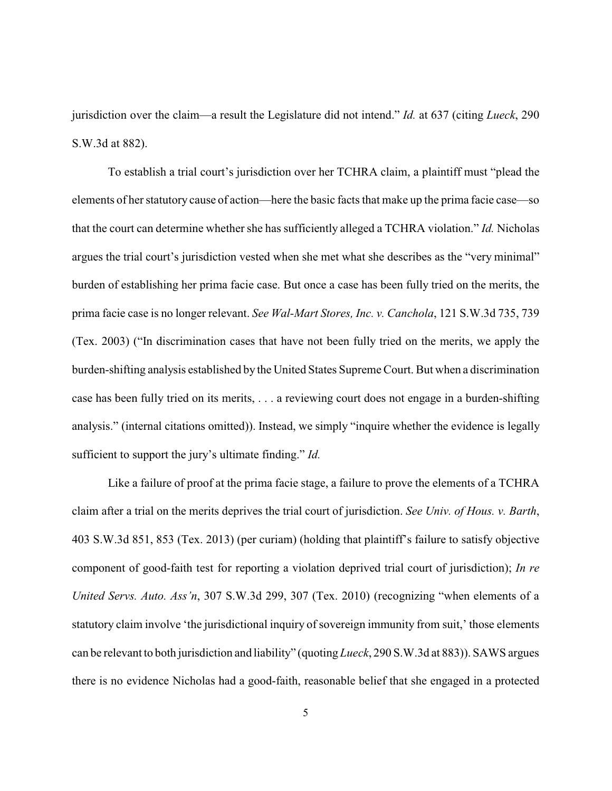jurisdiction over the claim—a result the Legislature did not intend." *Id.* at 637 (citing *Lueck*, 290 S.W.3d at 882).

To establish a trial court's jurisdiction over her TCHRA claim, a plaintiff must "plead the elements of her statutory cause of action—here the basic facts that make up the prima facie case—so that the court can determine whether she has sufficiently alleged a TCHRA violation." *Id.* Nicholas argues the trial court's jurisdiction vested when she met what she describes as the "very minimal" burden of establishing her prima facie case. But once a case has been fully tried on the merits, the prima facie case is no longer relevant. *See Wal-Mart Stores, Inc. v. Canchola*, 121 S.W.3d 735, 739 (Tex. 2003) ("In discrimination cases that have not been fully tried on the merits, we apply the burden-shifting analysis established by the United States Supreme Court. But when a discrimination case has been fully tried on its merits, . . . a reviewing court does not engage in a burden-shifting analysis." (internal citations omitted)). Instead, we simply "inquire whether the evidence is legally sufficient to support the jury's ultimate finding." *Id.* 

Like a failure of proof at the prima facie stage, a failure to prove the elements of a TCHRA claim after a trial on the merits deprives the trial court of jurisdiction. *See Univ. of Hous. v. Barth*, 403 S.W.3d 851, 853 (Tex. 2013) (per curiam) (holding that plaintiff's failure to satisfy objective component of good-faith test for reporting a violation deprived trial court of jurisdiction); *In re United Servs. Auto. Ass'n*, 307 S.W.3d 299, 307 (Tex. 2010) (recognizing "when elements of a statutory claim involve 'the jurisdictional inquiry of sovereign immunity from suit,' those elements can be relevant to both jurisdiction and liability" (quoting *Lueck*, 290 S.W.3d at 883)). SAWS argues there is no evidence Nicholas had a good-faith, reasonable belief that she engaged in a protected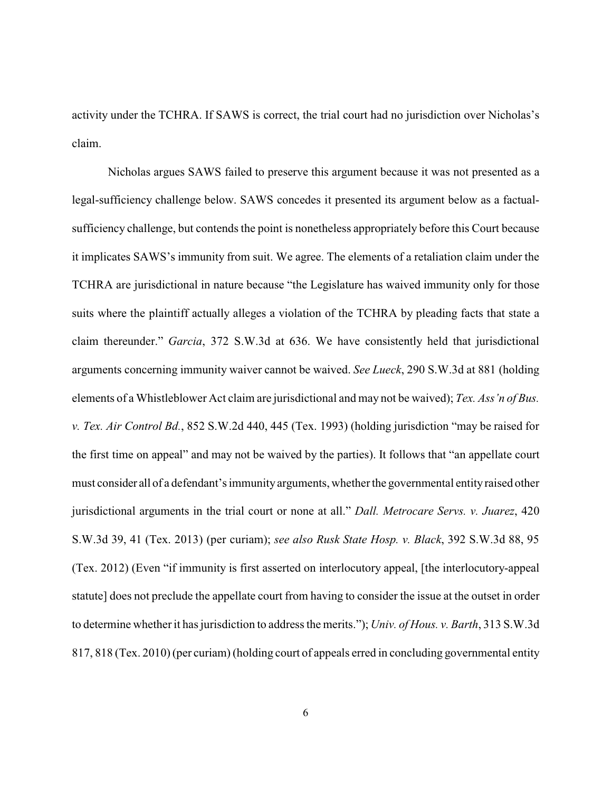activity under the TCHRA. If SAWS is correct, the trial court had no jurisdiction over Nicholas's claim.

Nicholas argues SAWS failed to preserve this argument because it was not presented as a legal-sufficiency challenge below. SAWS concedes it presented its argument below as a factualsufficiency challenge, but contends the point is nonetheless appropriately before this Court because it implicates SAWS's immunity from suit. We agree. The elements of a retaliation claim under the TCHRA are jurisdictional in nature because "the Legislature has waived immunity only for those suits where the plaintiff actually alleges a violation of the TCHRA by pleading facts that state a claim thereunder." *Garcia*, 372 S.W.3d at 636. We have consistently held that jurisdictional arguments concerning immunity waiver cannot be waived. *See Lueck*, 290 S.W.3d at 881 (holding elements of a Whistleblower Act claim are jurisdictional and may not be waived); *Tex. Ass'n of Bus. v. Tex. Air Control Bd.*, 852 S.W.2d 440, 445 (Tex. 1993) (holding jurisdiction "may be raised for the first time on appeal" and may not be waived by the parties). It follows that "an appellate court must consider all of a defendant's immunity arguments, whether the governmental entity raised other jurisdictional arguments in the trial court or none at all." *Dall. Metrocare Servs. v. Juarez*, 420 S.W.3d 39, 41 (Tex. 2013) (per curiam); *see also Rusk State Hosp. v. Black*, 392 S.W.3d 88, 95 (Tex. 2012) (Even "if immunity is first asserted on interlocutory appeal, [the interlocutory-appeal statute] does not preclude the appellate court from having to consider the issue at the outset in order to determine whetherit has jurisdiction to address the merits."); *Univ. of Hous. v. Barth*, 313 S.W.3d 817, 818 (Tex. 2010) (per curiam) (holding court of appeals erred in concluding governmental entity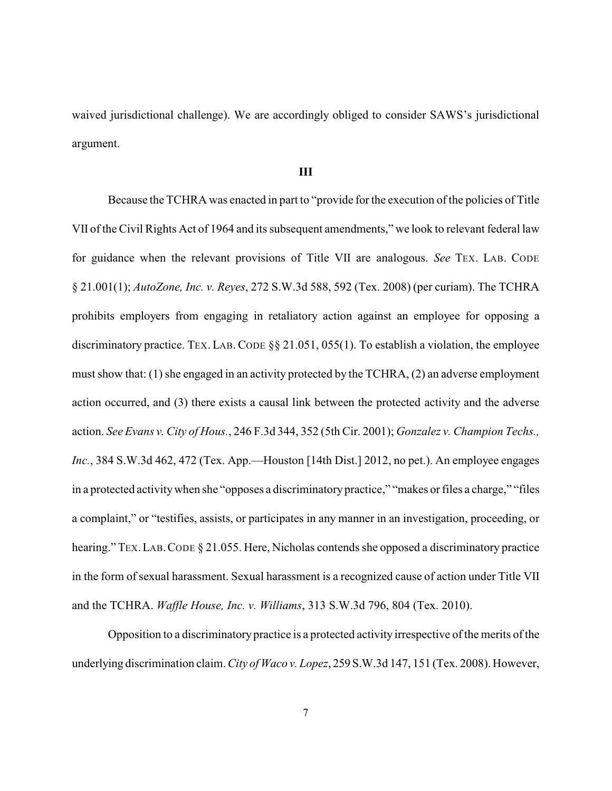waived jurisdictional challenge). We are accordingly obliged to consider SAWS's jurisdictional argument.

## **III**

Because the TCHRA was enacted in part to "provide for the execution of the policies of Title VII of the Civil Rights Act of 1964 and its subsequent amendments," we look to relevant federal law for guidance when the relevant provisions of Title VII are analogous. *See* TEX. LAB. CODE § 21.001(1); *AutoZone, Inc. v. Reyes*, 272 S.W.3d 588, 592 (Tex. 2008) (per curiam). The TCHRA prohibits employers from engaging in retaliatory action against an employee for opposing a discriminatory practice. TEX. LAB. CODE  $\S$ § 21.051, 055(1). To establish a violation, the employee must show that: (1) she engaged in an activity protected by the TCHRA, (2) an adverse employment action occurred, and (3) there exists a causal link between the protected activity and the adverse action. *See Evans v. City of Hous.*, 246 F.3d 344, 352 (5th Cir. 2001); *Gonzalez v. Champion Techs., Inc.*, 384 S.W.3d 462, 472 (Tex. App.—Houston [14th Dist.] 2012, no pet.). An employee engages in a protected activitywhen she "opposes a discriminatory practice," "makes or files a charge," "files a complaint," or "testifies, assists, or participates in any manner in an investigation, proceeding, or hearing." TEX. LAB. CODE § 21.055. Here, Nicholas contends she opposed a discriminatory practice in the form of sexual harassment. Sexual harassment is a recognized cause of action under Title VII and the TCHRA. *Waffle House, Inc. v. Williams*, 313 S.W.3d 796, 804 (Tex. 2010).

Opposition to a discriminatory practice is a protected activity irrespective of the merits of the underlying discrimination claim. *City of Waco v. Lopez*, 259 S.W.3d 147, 151 (Tex. 2008). However,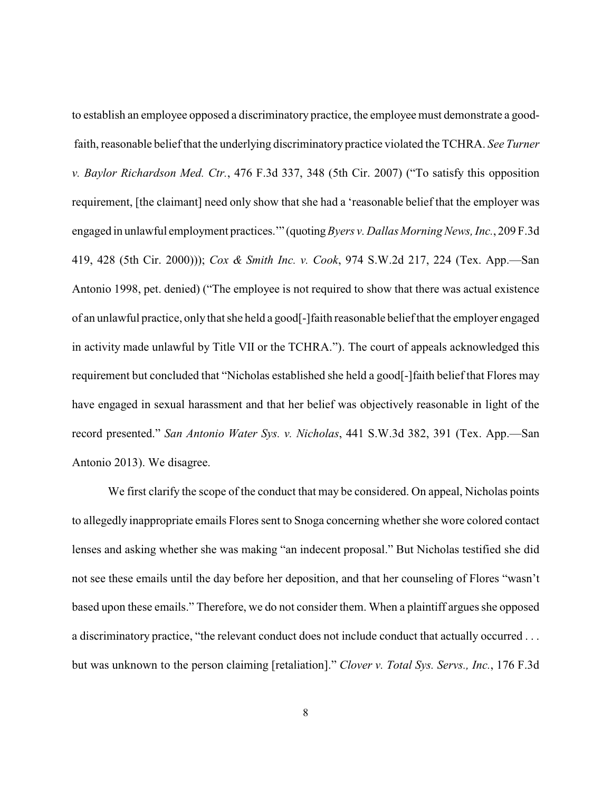to establish an employee opposed a discriminatory practice, the employee must demonstrate a goodfaith, reasonable belief that the underlying discriminatory practice violated the TCHRA. *See Turner v. Baylor Richardson Med. Ctr.*, 476 F.3d 337, 348 (5th Cir. 2007) ("To satisfy this opposition requirement, [the claimant] need only show that she had a 'reasonable belief that the employer was engaged in unlawful employment practices.'" (quoting*Byers v. Dallas Morning News, Inc.*, 209 F.3d 419, 428 (5th Cir. 2000))); *Cox & Smith Inc. v. Cook*, 974 S.W.2d 217, 224 (Tex. App.—San Antonio 1998, pet. denied) ("The employee is not required to show that there was actual existence of an unlawful practice, only that she held a good[-]faith reasonable belief that the employer engaged in activity made unlawful by Title VII or the TCHRA."). The court of appeals acknowledged this requirement but concluded that "Nicholas established she held a good[-]faith belief that Flores may have engaged in sexual harassment and that her belief was objectively reasonable in light of the record presented." *San Antonio Water Sys. v. Nicholas*, 441 S.W.3d 382, 391 (Tex. App.—San Antonio 2013). We disagree.

We first clarify the scope of the conduct that may be considered. On appeal, Nicholas points to allegedly inappropriate emails Flores sent to Snoga concerning whether she wore colored contact lenses and asking whether she was making "an indecent proposal." But Nicholas testified she did not see these emails until the day before her deposition, and that her counseling of Flores "wasn't based upon these emails." Therefore, we do not consider them. When a plaintiff argues she opposed a discriminatory practice, "the relevant conduct does not include conduct that actually occurred . . . but was unknown to the person claiming [retaliation]." *Clover v. Total Sys. Servs., Inc.*, 176 F.3d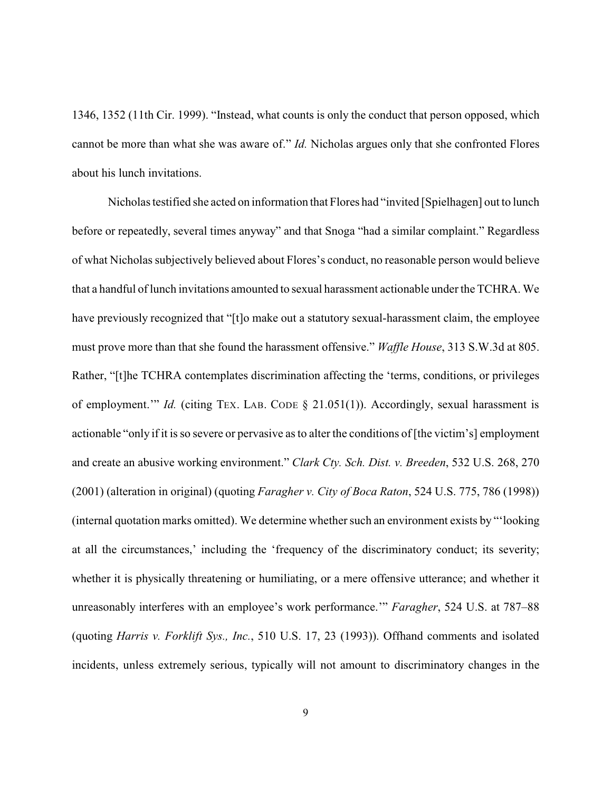1346, 1352 (11th Cir. 1999). "Instead, what counts is only the conduct that person opposed, which cannot be more than what she was aware of." *Id.* Nicholas argues only that she confronted Flores about his lunch invitations.

Nicholas testified she acted on information that Flores had "invited [Spielhagen] out to lunch before or repeatedly, several times anyway" and that Snoga "had a similar complaint." Regardless of what Nicholas subjectively believed about Flores's conduct, no reasonable person would believe that a handful of lunch invitations amounted to sexual harassment actionable under the TCHRA. We have previously recognized that "[t]o make out a statutory sexual-harassment claim, the employee must prove more than that she found the harassment offensive." *Waffle House*, 313 S.W.3d at 805. Rather, "[t]he TCHRA contemplates discrimination affecting the 'terms, conditions, or privileges of employment.'" *Id.* (citing TEX. LAB. CODE § 21.051(1)). Accordingly, sexual harassment is actionable "only if it is so severe or pervasive as to alter the conditions of [the victim's] employment and create an abusive working environment." *Clark Cty. Sch. Dist. v. Breeden*, 532 U.S. 268, 270 (2001) (alteration in original) (quoting *Faragher v. City of Boca Raton*, 524 U.S. 775, 786 (1998)) (internal quotation marks omitted). We determine whether such an environment exists by "'looking at all the circumstances,' including the 'frequency of the discriminatory conduct; its severity; whether it is physically threatening or humiliating, or a mere offensive utterance; and whether it unreasonably interferes with an employee's work performance.'" *Faragher*, 524 U.S. at 787–88 (quoting *Harris v. Forklift Sys., Inc.*, 510 U.S. 17, 23 (1993)). Offhand comments and isolated incidents, unless extremely serious, typically will not amount to discriminatory changes in the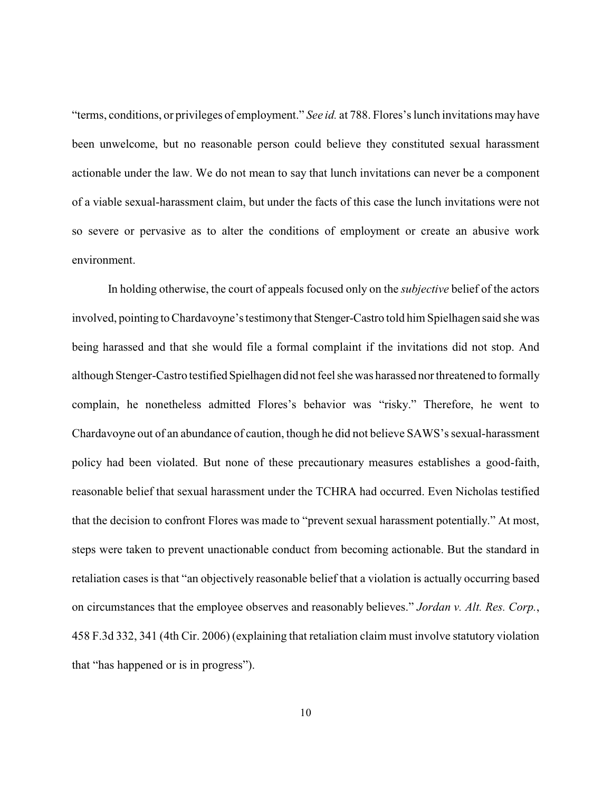"terms, conditions, or privileges of employment." *See id.* at 788. Flores's lunch invitations may have been unwelcome, but no reasonable person could believe they constituted sexual harassment actionable under the law. We do not mean to say that lunch invitations can never be a component of a viable sexual-harassment claim, but under the facts of this case the lunch invitations were not so severe or pervasive as to alter the conditions of employment or create an abusive work environment.

In holding otherwise, the court of appeals focused only on the *subjective* belief of the actors involved, pointing to Chardavoyne's testimonythat Stenger-Castro told him Spielhagen said she was being harassed and that she would file a formal complaint if the invitations did not stop. And although Stenger-Castro testified Spielhagen did not feel she was harassed nor threatened to formally complain, he nonetheless admitted Flores's behavior was "risky." Therefore, he went to Chardavoyne out of an abundance of caution, though he did not believe SAWS's sexual-harassment policy had been violated. But none of these precautionary measures establishes a good-faith, reasonable belief that sexual harassment under the TCHRA had occurred. Even Nicholas testified that the decision to confront Flores was made to "prevent sexual harassment potentially." At most, steps were taken to prevent unactionable conduct from becoming actionable. But the standard in retaliation cases is that "an objectively reasonable belief that a violation is actually occurring based on circumstances that the employee observes and reasonably believes." *Jordan v. Alt. Res. Corp.*, 458 F.3d 332, 341 (4th Cir. 2006) (explaining that retaliation claim must involve statutory violation that "has happened or is in progress").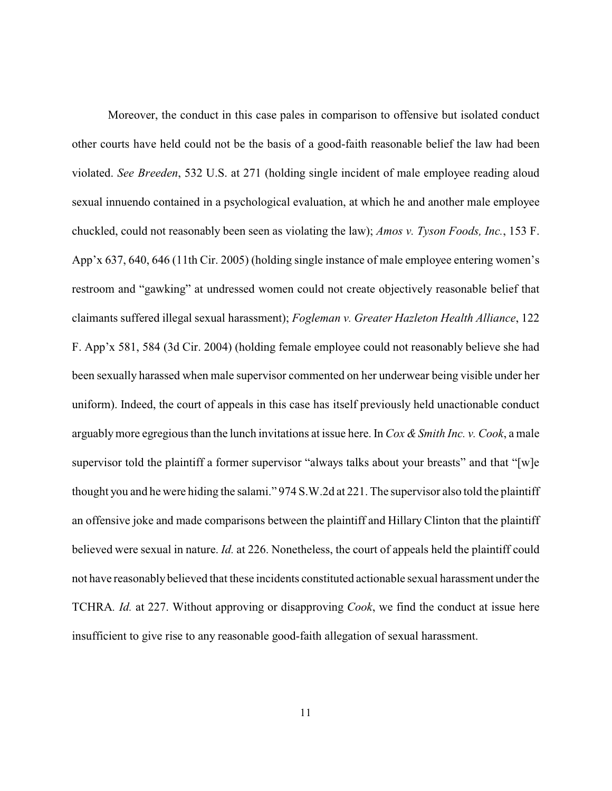Moreover, the conduct in this case pales in comparison to offensive but isolated conduct other courts have held could not be the basis of a good-faith reasonable belief the law had been violated. *See Breeden*, 532 U.S. at 271 (holding single incident of male employee reading aloud sexual innuendo contained in a psychological evaluation, at which he and another male employee chuckled, could not reasonably been seen as violating the law); *Amos v. Tyson Foods, Inc.*, 153 F. App'x 637, 640, 646 (11th Cir. 2005) (holding single instance of male employee entering women's restroom and "gawking" at undressed women could not create objectively reasonable belief that claimants suffered illegal sexual harassment); *Fogleman v. Greater Hazleton Health Alliance*, 122 F. App'x 581, 584 (3d Cir. 2004) (holding female employee could not reasonably believe she had been sexually harassed when male supervisor commented on her underwear being visible under her uniform). Indeed, the court of appeals in this case has itself previously held unactionable conduct arguablymore egregious than the lunch invitations at issue here. In *Cox &Smith Inc. v. Cook*, a male supervisor told the plaintiff a former supervisor "always talks about your breasts" and that "[w]e thought you and he were hiding the salami." 974 S.W.2d at 221. The supervisor also told the plaintiff an offensive joke and made comparisons between the plaintiff and Hillary Clinton that the plaintiff believed were sexual in nature. *Id.* at 226. Nonetheless, the court of appeals held the plaintiff could not have reasonably believed that these incidents constituted actionable sexual harassment under the TCHRA*. Id.* at 227. Without approving or disapproving *Cook*, we find the conduct at issue here insufficient to give rise to any reasonable good-faith allegation of sexual harassment.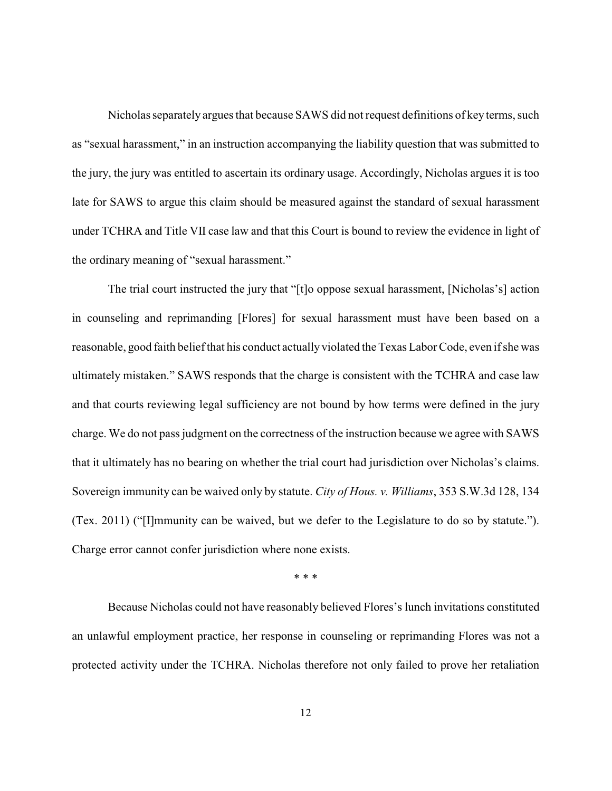Nicholas separately argues that because SAWS did not request definitions of keyterms, such as "sexual harassment," in an instruction accompanying the liability question that was submitted to the jury, the jury was entitled to ascertain its ordinary usage. Accordingly, Nicholas argues it is too late for SAWS to argue this claim should be measured against the standard of sexual harassment under TCHRA and Title VII case law and that this Court is bound to review the evidence in light of the ordinary meaning of "sexual harassment."

The trial court instructed the jury that "[t]o oppose sexual harassment, [Nicholas's] action in counseling and reprimanding [Flores] for sexual harassment must have been based on a reasonable, good faith belief that his conduct actuallyviolated the Texas Labor Code, even if she was ultimately mistaken." SAWS responds that the charge is consistent with the TCHRA and case law and that courts reviewing legal sufficiency are not bound by how terms were defined in the jury charge. We do not pass judgment on the correctness of the instruction because we agree with SAWS that it ultimately has no bearing on whether the trial court had jurisdiction over Nicholas's claims. Sovereign immunity can be waived only by statute. *City of Hous. v. Williams*, 353 S.W.3d 128, 134 (Tex. 2011) ("[I]mmunity can be waived, but we defer to the Legislature to do so by statute."). Charge error cannot confer jurisdiction where none exists.

\* \* \*

Because Nicholas could not have reasonably believed Flores's lunch invitations constituted an unlawful employment practice, her response in counseling or reprimanding Flores was not a protected activity under the TCHRA. Nicholas therefore not only failed to prove her retaliation